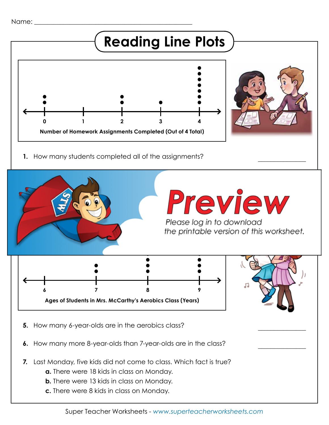

**c.** There were 8 kids in class on Monday.